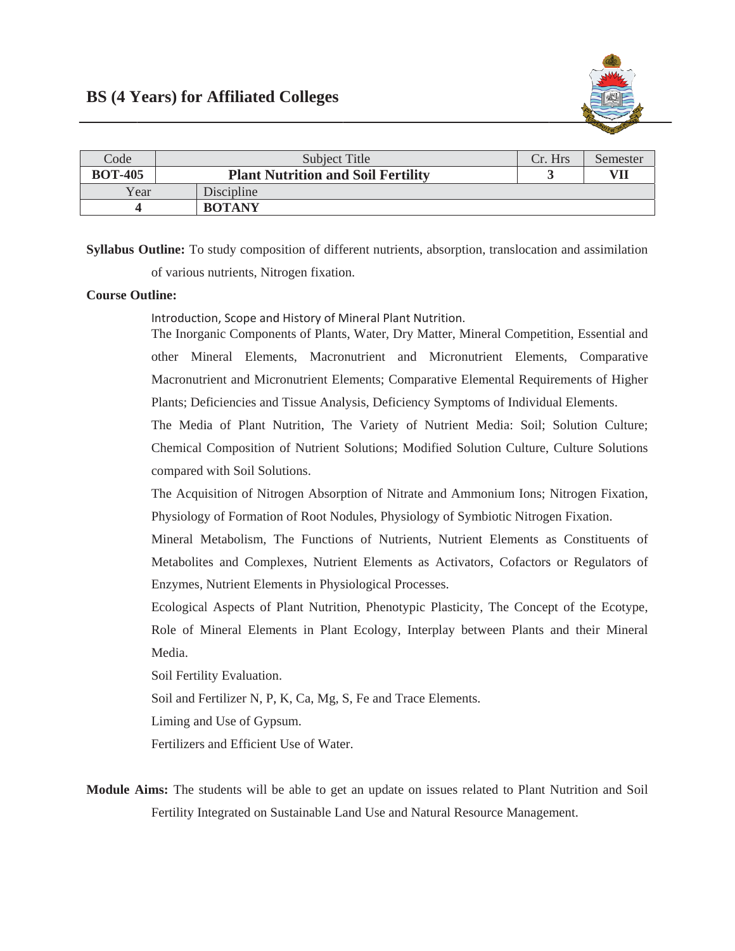

| Code           | Subject Title                             | Cr. Hrs | Semester |
|----------------|-------------------------------------------|---------|----------|
| <b>BOT-405</b> | <b>Plant Nutrition and Soil Fertility</b> |         | VIl      |
| Year           | Discipline                                |         |          |
|                | <b>BOTANY</b>                             |         |          |

Syllabus Outline: To study composition of different nutrients, absorption, translocation and assimilation of various nutrients, Nitrogen fixation.

## **Course Outline:**

Introduction, Scope and History of Mineral Plant Nutrition.

The Inorganic Components of Plants, Water, Dry Matter, Mineral Competition, Essential and other Mineral Elements, Macronutrient and Micronutrient Elements, Comparative Macronutrient and Micronutrient Elements; Comparative Elemental Requirements of Higher Plants; Deficiencies and Tissue Analysis, Deficiency Symptoms of Individual Elements.

The Media of Plant Nutrition, The Variety of Nutrient Media: Soil; Solution Culture; Chemical Composition of Nutrient Solutions; Modified Solution Culture, Culture Solutions compared with Soil Solutions.

The Acquisition of Nitrogen Absorption of Nitrate and Ammonium Ions; Nitrogen Fixation, Physiology of Formation of Root Nodules, Physiology of Symbiotic Nitrogen Fixation.

Mineral Metabolism, The Functions of Nutrients, Nutrient Elements as Constituents of Metabolites and Complexes, Nutrient Elements as Activators, Cofactors or Regulators of Enzymes, Nutrient Elements in Physiological Processes.

Ecological Aspects of Plant Nutrition, Phenotypic Plasticity, The Concept of the Ecotype, Role of Mineral Elements in Plant Ecology, Interplay between Plants and their Mineral Media.

Soil Fertility Evaluation.

Soil and Fertilizer N, P, K, Ca, Mg, S, Fe and Trace Elements.

Liming and Use of Gypsum.

Fertilizers and Efficient Use of Water.

Module Aims: The students will be able to get an update on issues related to Plant Nutrition and Soil Fertility Integrated on Sustainable Land Use and Natural Resource Management.